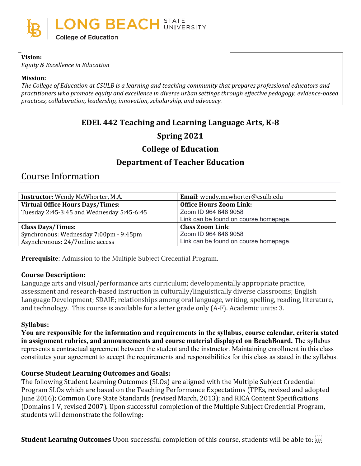

### **Vision:**

*Equity & Excellence in Education*

#### **Mission:**

*The College of Education at CSULB is a learning and teaching community that prepares professional educators and practitioners who promote equity and excellence in diverse urban settings through effective pedagogy, evidence-based practices, collaboration, leadership, innovation, scholarship, and advocacy.*

# **EDEL 442 Teaching and Learning Language Arts, K-8**

# **Spring 2021**

# **College of Education**

# **Department of Teacher Education**

# Course Information

| <b>Instructor:</b> Wendy McWhorter, M.A.  | Email: wendy.mcwhorter@csulb.edu      |
|-------------------------------------------|---------------------------------------|
| <b>Virtual Office Hours Days/Times:</b>   | <b>Office Hours Zoom Link:</b>        |
| Tuesday 2:45-3:45 and Wednesday 5:45-6:45 | Zoom ID 964 646 9058                  |
|                                           | Link can be found on course homepage. |
| <b>Class Days/Times:</b>                  | <b>Class Zoom Link:</b>               |
| Synchronous: Wednesday 7:00pm - 9:45pm    | Zoom ID 964 646 9058                  |
| Asynchronous: 24/7 online access          | Link can be found on course homepage. |

**Prerequisite**: Admission to the Multiple Subject Credential Program.

### **Course Description:**

Language arts and visual/performance arts curriculum; developmentally appropriate practice, assessment and research-based instruction in culturally/linguistically diverse classrooms; English Language Development; SDAIE; relationships among oral language, writing, spelling, reading, literature, and technology. This course is available for a letter grade only (A-F). Academic units: 3.

### **Syllabus:**

**You are responsible for the information and requirements in the syllabus, course calendar, criteria stated in assignment rubrics, and announcements and course material displayed on BeachBoard.** The syllabus represents a contractual agreement between the student and the instructor. Maintaining enrollment in this class constitutes your agreement to accept the requirements and responsibilities for this class as stated in the syllabus.

### **Course Student Learning Outcomes and Goals:**

The following Student Learning Outcomes (SLOs) are aligned with the Multiple Subject Credential Program SLOs which are based on the Teaching Performance Expectations (TPEs, revised and adopted June 2016); Common Core State Standards (revised March, 2013); and RICA Content Specifications (Domains I-V, revised 2007). Upon successful completion of the Multiple Subject Credential Program, students will demonstrate the following: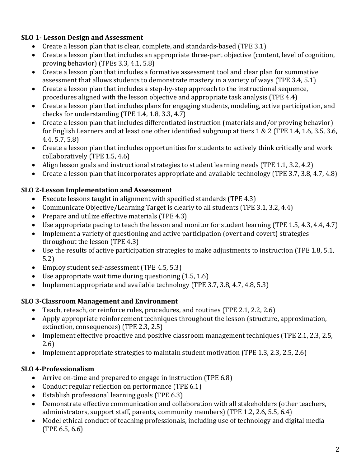# **SLO 1- Lesson Design and Assessment**

- Create a lesson plan that is clear, complete, and standards-based (TPE 3.1)
- Create a lesson plan that includes an appropriate three-part objective (content, level of cognition, proving behavior) (TPEs 3.3, 4.1, 5.8)
- Create a lesson plan that includes a formative assessment tool and clear plan for summative assessment that allows students to demonstrate mastery in a variety of ways (TPE 3.4, 5.1)
- Create a lesson plan that includes a step-by-step approach to the instructional sequence, procedures aligned with the lesson objective and appropriate task analysis (TPE 4.4)
- Create a lesson plan that includes plans for engaging students, modeling, active participation, and checks for understanding (TPE 1.4, 1.8, 3.3, 4.7)
- Create a lesson plan that includes differentiated instruction (materials and/or proving behavior) for English Learners and at least one other identified subgroup at tiers 1 & 2 (TPE 1.4, 1.6, 3.5, 3.6, 4.4, 5.7, 5.8)
- Create a lesson plan that includes opportunities for students to actively think critically and work collaboratively (TPE 1.5, 4.6)
- Align lesson goals and instructional strategies to student learning needs (TPE 1.1, 3.2, 4.2)
- Create a lesson plan that incorporates appropriate and available technology (TPE 3.7, 3.8, 4.7, 4.8)

### **SLO 2-Lesson Implementation and Assessment**

- Execute lessons taught in alignment with specified standards (TPE 4.3)
- Communicate Objective/Learning Target is clearly to all students (TPE 3.1, 3.2, 4.4)
- Prepare and utilize effective materials (TPE 4.3)
- Use appropriate pacing to teach the lesson and monitor for student learning (TPE 1.5, 4.3, 4.4, 4.7)
- Implement a variety of questioning and active participation (overt and covert) strategies throughout the lesson (TPE 4.3)
- Use the results of active participation strategies to make adjustments to instruction (TPE 1.8, 5.1, 5.2)
- Employ student self-assessment (TPE 4.5, 5.3)
- Use appropriate wait time during questioning  $(1.5, 1.6)$
- Implement appropriate and available technology (TPE 3.7, 3.8, 4.7, 4.8, 5.3)

### **SLO 3-Classroom Management and Environment**

- Teach, reteach, or reinforce rules, procedures, and routines (TPE 2.1, 2.2, 2.6)
- Apply appropriate reinforcement techniques throughout the lesson (structure, approximation, extinction, consequences) (TPE 2.3, 2.5)
- Implement effective proactive and positive classroom management techniques (TPE 2.1, 2.3, 2.5, 2.6)
- Implement appropriate strategies to maintain student motivation (TPE 1.3, 2.3, 2.5, 2.6)

# **SLO 4-Professionalism**

- Arrive on-time and prepared to engage in instruction (TPE 6.8)
- Conduct regular reflection on performance (TPE 6.1)
- Establish professional learning goals (TPE 6.3)
- Demonstrate effective communication and collaboration with all stakeholders (other teachers, administrators, support staff, parents, community members) (TPE 1.2, 2.6, 5.5, 6.4)
- Model ethical conduct of teaching professionals, including use of technology and digital media (TPE 6.5, 6.6)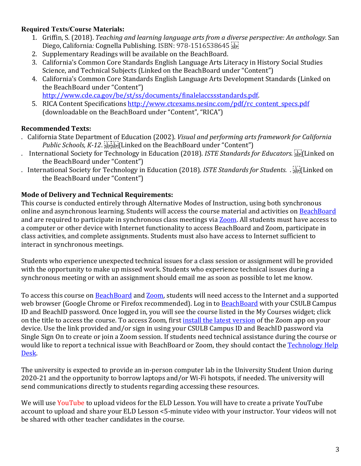# **Required Texts/Course Materials:**

- 1. Griffin, S. (2018). *Teaching and learning language arts from a diverse perspective: An anthology.* San Diego, California*:* Cognella Publishing. ISBN: 978-1516538645
- 2. Supplementary Readings will be available on the BeachBoard.
- 3. California['s Common Core Standards English Language Arts Literacy in History](javascript://) Social Studies [Science, and Technical Subjects](javascript://) (Linked on the BeachBoard under "Content")
- 4. California's Common Core Standards English Language Arts Development Standards (Linked on the BeachBoard under "Content")
- [http://www.cde.ca.gov/be/st/ss/documents/finalelaccssstandards.pdf.](http://www.cde.ca.gov/be/st/ss/documents/finalelaccssstandards.pdf) 5. RICA Content Specifications [http://www.ctcexams.nesinc.com/pdf/rc\\_content\\_specs.pdf](http://www.ctcexams.nesinc.com/pdf/rc_content_specs.pdf) (downloadable on the BeachBoard under "Content", "RICA")

# **Recommended Texts:**

- . California State Department of Education (2002). *Visual and performing arts framework for California Public Schools, K-12. SEPISEP*[Linked on the BeachBoard under "Content"]
- . International Society for Technology in Education (2018). *ISTE Standards for Educators*. <sup>[17]</sup> Linked on the BeachBoard under "Content")
- . International Society for Technology in Education (2018). *ISTE Standards for Students. Jinal* Linked on the BeachBoard under "Content")

# **Mode of Delivery and Technical Requirements:**

This course is conducted entirely through Alternative Modes of Instruction, using both synchronous online and asynchronous learning. Students will access the course material and activities on [BeachBoard](https://bbcsulb.desire2learn.com/d2l/home) and are required to participate in synchronous class meetings via [Zoom.](https://csulb.zoom.us/meeting) All students must have access to a computer or other device with Internet functionality to access BeachBoard and Zoom, participate in class activities, and complete assignments. Students must also have access to Internet sufficient to interact in synchronous meetings.

Students who experience unexpected technical issues for a class session or assignment will be provided with the opportunity to make up missed work. Students who experience technical issues during a synchronous meeting or with an assignment should email me as soon as possible to let me know.

To access this course on **BeachBoard and Zoom**, students will need access to the Internet and a supported web browser (Google Chrome or Firefox recommended). Log in to **BeachBoard** with your CSULB Campus ID and BeachID password. Once logged in, you will see the course listed in the My Courses widget; click on the title to access the course. To access Zoom, first [install the latest version](https://zoom.us/download) of the Zoom app on your device. Use the link provided and/or sign in using your CSULB Campus ID and BeachID password via Single Sign On to create or join a Zoom session. If students need technical assistance during the course or would like to report a technical issue with BeachBoard or Zoom, they should contact the [Technology Help](https://www.csulb.edu/academic-technology-services/academic-technology-resources-for-students)  [Desk.](https://www.csulb.edu/academic-technology-services/academic-technology-resources-for-students)

The university is expected to provide an in-person computer lab in the University Student Union during 2020-21 and the opportunity to borrow laptops and/or Wi-Fi hotspots, if needed. The university will send communications directly to students regarding accessing these resources.

We will use YouTube to upload videos for the ELD Lesson. You will have to create a private YouTube account to upload and share your ELD Lesson <5-minute video with your instructor. Your videos will not be shared with other teacher candidates in the course.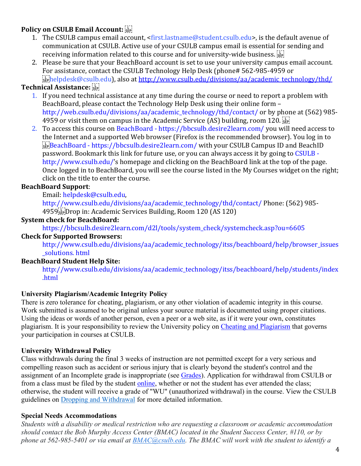# **Policy on CSULB Email Account:**

- 1. The CSULB campus email account, <first.lastname@student.csulb.edu>, is the default avenue of communication at CSULB. Active use of your CSULB campus email is essential for sending and receiving information related to this course and for university-wide business.
- 2. Please be sure that your BeachBoard account is set to use your university campus email account. For assistance, contact the CSULB Technology Help Desk (phone# 562-985-4959 or helpdesk@csulb.edu), also at [http://www.csulb.edu/divisions/aa/academic\\_technology/thd/](http://www.csulb.edu/divisions/aa/academic_technology/thd/)

### **Technical Assistance:**

- 1. If you need technical assistance at any time during the course or need to report a problem with BeachBoard, please contact the Technology Help Desk using their online form – http://web.csulb.edu/divisions/aa/academic\_technology/thd/contact/ or by phone at (562) 985- 4959 or visit them on campus in the Academic Service (AS) building, room 120.
- 2. To access this course on BeachBoard https://bbcsulb.desire2learn.com/ you will need access to the Internet and a supported Web browser (Firefox is the recommended browser). You log in to BeachBoard - https://bbcsulb.desire2learn.com/ with your CSULB Campus ID and BeachID password. Bookmark this link for future use, or you can always access it by going to CSULB http://www.csulb.edu/'s homepage and clicking on the BeachBoard link at the top of the page. Once logged in to BeachBoard, you will see the course listed in the My Courses widget on the right; click on the title to enter the course.

### **BeachBoard Support**:

Email: helpdesk@csulb.edu,

http://www.csulb.edu/divisions/aa/academic\_technology/thd/contact/ Phone: (562) 985- 4959 Drop in: Academic Services Building, Room 120 (AS 120)

### **System check for BeachBoard:**

https://bbcsulb.desire2learn.com/d2l/tools/system\_check/systemcheck.asp?ou=6605

### **Check for Supported Browsers:**

http://www.csulb.edu/divisions/aa/academic\_technology/itss/beachboard/help/browser\_issues solutions. html

### **BeachBoard Student Help Site:**

http://www.csulb.edu/divisions/aa/academic\_technology/itss/beachboard/help/students/index .html

### **University Plagiarism/Academic Integrity Policy**

There is zero tolerance for cheating, plagiarism, or any other violation of academic integrity in this course. Work submitted is assumed to be original unless your source material is documented using proper citations. Using the ideas or words of another person, even a peer or a web site, as if it were your own, constitutes plagiarism. It is your responsibility to review the University policy on [Cheating and](http://catalog.csulb.edu/content.php?catoid=5&navoid=369#cheating-and-plagiarism) Plagiarism that governs your participation in courses at CSULB.

### **University Withdrawal Policy**

Class withdrawals during the final 3 weeks of instruction are not permitted except for a very serious and compelling reason such as accident or serious injury that is clearly beyond the student's control and the assignment of an Incomplete grade is inappropriate (see [Grades\)](http://www.csulb.edu/depts/enrollment/student_academic_records/grading.html). Application for withdrawal from CSULB or from a class must be filed by the student [online,](https://www.csulb.edu/student-records/dropping-and-withdrawing) whether or not the student has ever attended the class; otherwise, the student will receive a grade of "WU" (unauthorized withdrawal) in the course. View the CSULB guidelines on [Dropping and Withdrawal](https://www.csulb.edu/student-records/dropping-and-withdrawing#:%7E:text=Policy,after%20separation%20from%20the%20university.) for more detailed information.

### **Special Needs Accommodations**

*Students with a disability or medical restriction who are requesting a classroom or academic accommodation should contact the Bob Murphy Access Center (BMAC) located in the Student Success Center, #110, or by phone at 562-985-5401 or via email at [BMAC@csulb.edu.](mailto:BMAC@csulb.edu) The BMAC will work with the student to identify a*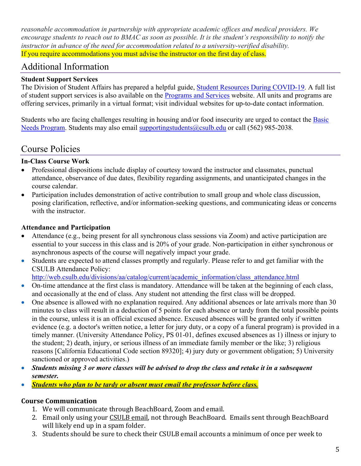*reasonable accommodation in partnership with appropriate academic offices and medical providers. We encourage students to reach out to BMAC as soon as possible. It is the student's responsibility to notify the instructor in advance of the need for accommodation related to a university-verified disability.* If you require accommodations you must advise the instructor on the first day of class.

# Additional Information

### **Student Support Services**

The Division of Student Affairs has prepared a helpful guide, [Student Resources During COVID-19.](https://rb.gy/ql7w8j) A full list of student support services is also available on the [Programs and Services](http://web.csulb.edu/divisions/students/programs.html) website. All units and programs are offering services, primarily in a virtual format; visit individual websites for up-to-date contact information.

Students who are facing challenges resulting in housing and/or food insecurity are urged to contact the Basic [Needs Program.](http://web.csulb.edu/divisions/students/basic_needs_program/index.html) Students may also email [supportingstudents@csulb.edu](mailto:supportingstudents@csulb.edu) or call (562) 985-2038*.*

# Course Policies

# **In-Class Course Work**

- Professional dispositions include display of courtesy toward the instructor and classmates, punctual attendance, observance of due dates, flexibility regarding assignments, and unanticipated changes in the course calendar.
- Participation includes demonstration of active contribution to small group and whole class discussion, posing clarification, reflective, and/or information-seeking questions, and communicating ideas or concerns with the instructor.

# **Attendance and Participation**

- Attendance (e.g., being present for all synchronous class sessions via Zoom) and active participation are essential to your success in this class and is 20% of your grade. Non-participation in either synchronous or asynchronous aspects of the course will negatively impact your grade.
- Students are expected to attend classes promptly and regularly. Please refer to and get familiar with the CSULB Attendance Policy:

[http://web.csulb.edu/divisions/aa/catalog/current/academic\\_information/class\\_attendance.html](http://web.csulb.edu/divisions/aa/catalog/current/academic_information/class_attendance.html)

- On-time attendance at the first class is mandatory. Attendance will be taken at the beginning of each class, and occasionally at the end of class. Any student not attending the first class will be dropped.
- One absence is allowed with no explanation required. Any additional absences or late arrivals more than 30 minutes to class will result in a deduction of 5 points for each absence or tardy from the total possible points in the course, unless it is an official excused absence. Excused absences will be granted only if written evidence (e.g. a doctor's written notice, a letter for jury duty, or a copy of a funeral program) is provided in a timely manner. (University Attendance Policy, PS 01-01, defines excused absences as 1) illness or injury to the student; 2) death, injury, or serious illness of an immediate family member or the like; 3) religious reasons [California Educational Code section 89320]; 4) jury duty or government obligation; 5) University sanctioned or approved activities.)
- *Students missing 3 or more classes will be advised to drop the class and retake it in a subsequent semester.*
- *Students who plan to be tardy or absent must email the professor before class.*

# **Course Communication**

- 1. We will communicate through BeachBoard, Zoom and email.
- 2. Email only using your CSULB email, not through BeachBoard. Emails sent through BeachBoard will likely end up in a spam folder.
- 3. Students should be sure to check their CSULB email accounts a minimum of once per week to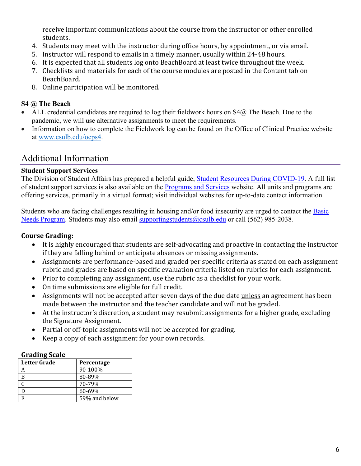receive important communications about the course from the instructor or other enrolled students.

- 4. Students may meet with the instructor during office hours, by appointment, or via email.
- 5. Instructor will respond to emails in a timely manner, usually within 24-48 hours.
- 6. It is expected that all students log onto BeachBoard at least twice throughout the week.
- 7. Checklists and materials for each of the course modules are posted in the Content tab on BeachBoard.
- 8. Online participation will be monitored.

### **S4 @ The Beach**

- ALL credential candidates are required to log their fieldwork hours on  $S4@$  The Beach. Due to the pandemic, we will use alternative assignments to meet the requirements.
- Information on how to complete the Fieldwork log can be found on the Office of Clinical Practice website at [www.csulb.edu/ocps4.](http://www.csulb.edu/ocps4)

# Additional Information

### **Student Support Services**

The Division of Student Affairs has prepared a helpful guide, [Student Resources During COVID-19.](https://rb.gy/ql7w8j) A full list of student support services is also available on the [Programs and Services](http://web.csulb.edu/divisions/students/programs.html) website. All units and programs are offering services, primarily in a virtual format; visit individual websites for up-to-date contact information.

Students who are facing challenges resulting in housing and/or food insecurity are urged to contact the [Basic](http://web.csulb.edu/divisions/students/basic_needs_program/index.html)  [Needs Program.](http://web.csulb.edu/divisions/students/basic_needs_program/index.html) Students may also email [supportingstudents@csulb.edu](mailto:supportingstudents@csulb.edu) or call (562) 985-2038*.*

### **Course Grading:**

- It is highly encouraged that students are self-advocating and proactive in contacting the instructor if they are falling behind or anticipate absences or missing assignments.
- Assignments are performance-based and graded per specific criteria as stated on each assignment rubric and grades are based on specific evaluation criteria listed on rubrics for each assignment.
- Prior to completing any assignment, use the rubric as a checklist for your work.
- On time submissions are eligible for full credit.
- Assignments will not be accepted after seven days of the due date unless an agreement has been made between the instructor and the teacher candidate and will not be graded.
- At the instructor's discretion, a student may resubmit assignments for a higher grade, excluding the Signature Assignment.
- Partial or off-topic assignments will not be accepted for grading.
- Keep a copy of each assignment for your own records.

### **Grading Scale**

| <b>Letter Grade</b> | Percentage    |
|---------------------|---------------|
|                     | 90-100%       |
| B                   | 80-89%        |
|                     | 70-79%        |
| D                   | 60-69%        |
| E                   | 59% and below |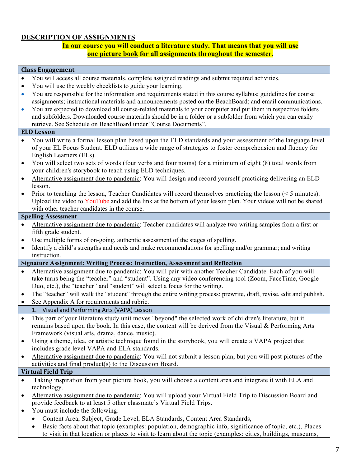### **DESCRIPTION OF ASSIGNMENTS**

#### **In our course you will conduct a literature study. That means that you will use one picture book for all assignments throughout the semester.**

#### **Class Engagement**

- You will access all course materials, complete assigned readings and submit required activities.
- You will use the weekly checklists to guide your learning.
- You are responsible for the information and requirements stated in this course syllabus; guidelines for course assignments; instructional materials and announcements posted on the BeachBoard; and email communications.
- You are expected to download all course-related materials to your computer and put them in respective folders and subfolders. Downloaded course materials should be in a folder or a subfolder from which you can easily retrieve. See Schedule on BeachBoard under "Course Documents".

#### **ELD Lesson**

- You will write a formal lesson plan based upon the ELD standards and your assessment of the language level of your EL Focus Student. ELD utilizes a wide range of strategies to foster comprehension and fluency for English Learners (ELs).
- You will select two sets of words (four verbs and four nouns) for a minimum of eight (8) total words from your children's storybook to teach using ELD techniques.
- Alternative assignment due to pandemic: You will design and record yourself practicing delivering an ELD lesson.
- Prior to teaching the lesson, Teacher Candidates will record themselves practicing the lesson (< 5 minutes). Upload the video to YouTube and add the link at the bottom of your lesson plan. Your videos will not be shared with other teacher candidates in the course.

#### **Spelling Assessment**

- Alternative assignment due to pandemic: Teacher candidates will analyze two writing samples from a first or fifth grade student.
- Use multiple forms of on-going, authentic assessment of the stages of spelling.
- Identify a child's strengths and needs and make recommendations for spelling and/or grammar; and writing instruction.

**Signature Assignment: Writing Process: Instruction, Assessment and Reflection**

- Alternative assignment due to pandemic: You will pair with another Teacher Candidate. Each of you will take turns being the "teacher" and "student". Using any video conferencing tool (Zoom, FaceTime, Google Duo, etc.), the "teacher" and "student" will select a focus for the writing.
- The "teacher" will walk the "student" through the entire writing process: prewrite, draft, revise, edit and publish.
- See Appendix A for requirements and rubric.

#### 1. Visual and Performing Arts (VAPA) Lesson

- This part of your literature study unit moves "beyond" the selected work of children's literature, but it remains based upon the book. In this case, the content will be derived from the Visual & Performing Arts Framework (visual arts, drama, dance, music).
- Using a theme, idea, or artistic technique found in the storybook, you will create a VAPA project that includes grade level VAPA and ELA standards.
- Alternative assignment due to pandemic: You will not submit a lesson plan, but you will post pictures of the activities and final product(s) to the Discussion Board.

#### **Virtual Field Trip**

- Taking inspiration from your picture book, you will choose a content area and integrate it with ELA and technology.
- Alternative assignment due to pandemic: You will upload your Virtual Field Trip to Discussion Board and provide feedback to at least 5 other classmate's Virtual Field Trips.
- You must include the following:
	- Content Area, Subject, Grade Level, ELA Standards, Content Area Standards,
	- Basic facts about that topic (examples: population, demographic info, significance of topic, etc.), Places to visit in that location or places to visit to learn about the topic (examples: cities, buildings, museums,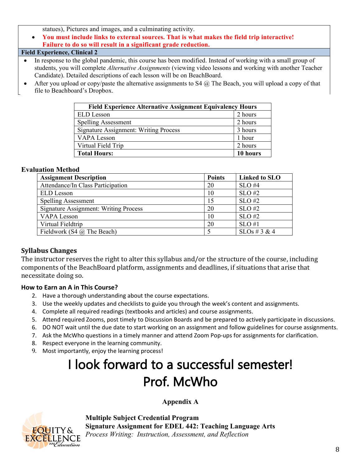statues), Pictures and images, and a culminating activity.

• **You must include links to external sources. That is what makes the field trip interactive! Failure to do so will result in a significant grade reduction.**

#### **Field Experience, Clinical 2**

- In response to the global pandemic, this course has been modified. Instead of working with a small group of students, you will complete *Alternative Assignments* (viewing video lessons and working with another Teacher Candidate). Detailed descriptions of each lesson will be on BeachBoard.
- After you upload or copy/paste the alternative assignments to S4  $@$  The Beach, you will upload a copy of that file to Beachboard's Dropbox.

| <b>Field Experience Alternative Assignment Equivalency Hours</b> |          |  |  |
|------------------------------------------------------------------|----------|--|--|
| <b>ELD</b> Lesson                                                | 2 hours  |  |  |
| <b>Spelling Assessment</b>                                       | 2 hours  |  |  |
| <b>Signature Assignment: Writing Process</b>                     | 3 hours  |  |  |
| VAPA Lesson                                                      | 1 hour   |  |  |
| Virtual Field Trip                                               | 2 hours  |  |  |
| <b>Total Hours:</b>                                              | 10 hours |  |  |

#### **Evaluation Method**

| <b>Assignment Description</b>                | <b>Points</b> | Linked to SLO    |
|----------------------------------------------|---------------|------------------|
| Attendance/In Class Participation            | 20            | $SLO$ #4         |
| <b>ELD</b> Lesson                            | 10            | $SLO$ #2         |
| <b>Spelling Assessment</b>                   | 15            | $SLO$ #2         |
| <b>Signature Assignment: Writing Process</b> | 20            | $SLO$ #2         |
| <b>VAPA Lesson</b>                           | 10            | $SLO$ #2         |
| Virtual Fieldtrip                            | 20            | SLO#1            |
| Fieldwork (S4 $\omega$ ) The Beach)          |               | $SLOs \# 3 \& 4$ |

### **Syllabus Changes**

The instructor reserves the right to alter this syllabus and/or the structure of the course, including components of the BeachBoard platform, assignments and deadlines, if situations that arise that necessitate doing so.

#### **How to Earn an A in This Course?**

- 2. Have a thorough understanding about the course expectations.
- 3. Use the weekly updates and checklists to guide you through the week's content and assignments.
- 4. Complete all required readings (textbooks and articles) and course assignments.
- 5. Attend required Zooms, post timely to Discussion Boards and be prepared to actively participate in discussions.
- 6. DO NOT wait until the due date to start working on an assignment and follow guidelines for course assignments.
- 7. Ask the McWho questions in a timely manner and attend Zoom Pop-ups for assignments for clarification.
- 8. Respect everyone in the learning community.
- 9. Most importantly, enjoy the learning process!

# I look forward to a successful semester! Prof. McWho

### **Appendix A**



**Multiple Subject Credential Program Signature Assignment for EDEL 442: Teaching Language Arts** *Process Writing: Instruction, Assessment, and Reflection*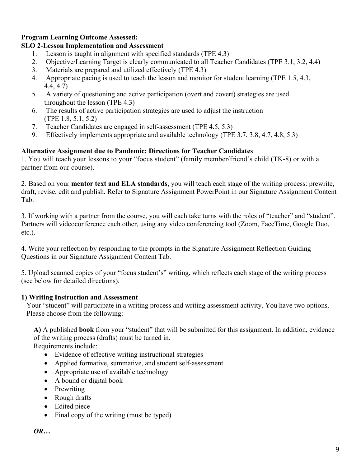## **Program Learning Outcome Assessed:**

# **SLO 2**-**Lesson Implementation and Assessment**

- 1. Lesson is taught in alignment with specified standards (TPE 4.3)
- 2. Objective/Learning Target is clearly communicated to all Teacher Candidates (TPE 3.1, 3.2, 4.4)
- 3. Materials are prepared and utilized effectively (TPE 4.3)
- 4. Appropriate pacing is used to teach the lesson and monitor for student learning (TPE 1.5, 4.3, 4.4, 4.7)
- 5. A variety of questioning and active participation (overt and covert) strategies are used throughout the lesson (TPE 4.3)
- 6. The results of active participation strategies are used to adjust the instruction (TPE 1.8, 5.1, 5.2)
- 7. Teacher Candidates are engaged in self-assessment (TPE 4.5, 5.3)
- 9. Effectively implements appropriate and available technology (TPE 3.7, 3.8, 4.7, 4.8, 5.3)

# **Alternative Assignment due to Pandemic: Directions for Teacher Candidates**

1. You will teach your lessons to your "focus student" (family member/friend's child (TK-8) or with a partner from our course).

2. Based on your **mentor text and ELA standards**, you will teach each stage of the writing process: prewrite, draft, revise, edit and publish. Refer to Signature Assignment PowerPoint in our Signature Assignment Content Tab.

3. If working with a partner from the course, you will each take turns with the roles of "teacher" and "student". Partners will videoconference each other, using any video conferencing tool (Zoom, FaceTime, Google Duo, etc.).

4. Write your reflection by responding to the prompts in the Signature Assignment Reflection Guiding Questions in our Signature Assignment Content Tab.

5. Upload scanned copies of your "focus student's" writing, which reflects each stage of the writing process (see below for detailed directions).

# **1) Writing Instruction and Assessment**

Your "student" will participate in a writing process and writing assessment activity. You have two options. Please choose from the following:

**A)** A published **book** from your "student" that will be submitted for this assignment. In addition, evidence of the writing process (drafts) must be turned in.

Requirements include:

- Evidence of effective writing instructional strategies
- Applied formative, summative, and student self-assessment
- Appropriate use of available technology
- A bound or digital book
- Prewriting
- Rough drafts
- Edited piece
- Final copy of the writing (must be typed)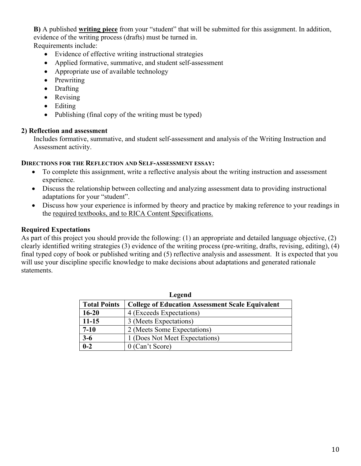**B)** A published **writing piece** from your "student" that will be submitted for this assignment. In addition, evidence of the writing process (drafts) must be turned in.

Requirements include:

- Evidence of effective writing instructional strategies
- Applied formative, summative, and student self-assessment
- Appropriate use of available technology
- Prewriting
- Drafting
- Revising
- Editing
- Publishing (final copy of the writing must be typed)

### **2) Reflection and assessment**

Includes formative, summative, and student self-assessment and analysis of the Writing Instruction and Assessment activity.

### **DIRECTIONS FOR THE REFLECTION AND SELF-ASSESSMENT ESSAY:**

- To complete this assignment, write a reflective analysis about the writing instruction and assessment experience.
- Discuss the relationship between collecting and analyzing assessment data to providing instructional adaptations for your "student".
- Discuss how your experience is informed by theory and practice by making reference to your readings in the required textbooks, and to RICA Content Specifications.

### **Required Expectations**

As part of this project you should provide the following: (1) an appropriate and detailed language objective, (2) clearly identified writing strategies (3) evidence of the writing process (pre-writing, drafts, revising, editing), (4) final typed copy of book or published writing and (5) reflective analysis and assessment. It is expected that you will use your discipline specific knowledge to make decisions about adaptations and generated rationale statements.

| Legend              |                                                         |  |  |
|---------------------|---------------------------------------------------------|--|--|
| <b>Total Points</b> | <b>College of Education Assessment Scale Equivalent</b> |  |  |
| $16 - 20$           | 4 (Exceeds Expectations)                                |  |  |
| $11 - 15$           | 3 (Meets Expectations)                                  |  |  |
| $7 - 10$            | 2 (Meets Some Expectations)                             |  |  |
| $3-6$               | 1 (Does Not Meet Expectations)                          |  |  |
| $0 - 2$             | $0$ (Can't Score)                                       |  |  |